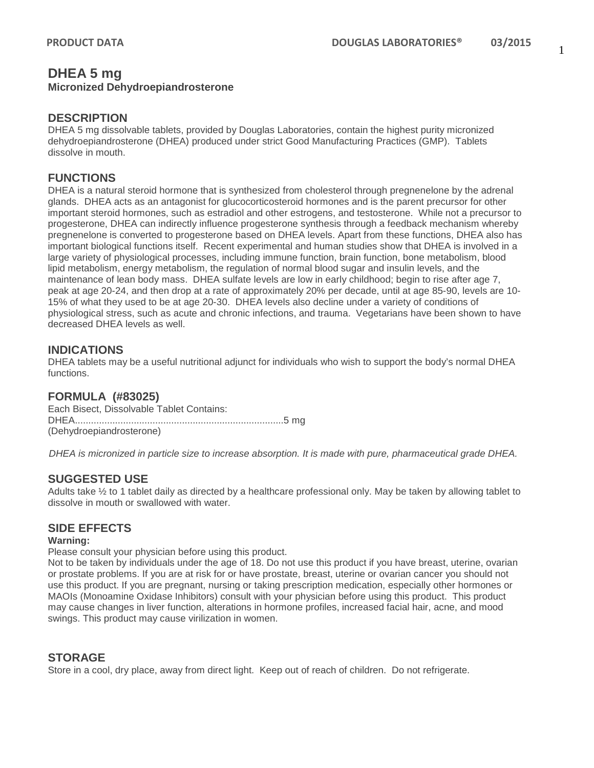# **DHEA 5 mg**

#### **Micronized Dehydroepiandrosterone**

#### **DESCRIPTION**

DHEA 5 mg dissolvable tablets, provided by Douglas Laboratories, contain the highest purity micronized dehydroepiandrosterone (DHEA) produced under strict Good Manufacturing Practices (GMP). Tablets dissolve in mouth.

# **FUNCTIONS**

DHEA is a natural steroid hormone that is synthesized from cholesterol through pregnenelone by the adrenal glands. DHEA acts as an antagonist for glucocorticosteroid hormones and is the parent precursor for other important steroid hormones, such as estradiol and other estrogens, and testosterone. While not a precursor to progesterone, DHEA can indirectly influence progesterone synthesis through a feedback mechanism whereby pregnenelone is converted to progesterone based on DHEA levels. Apart from these functions, DHEA also has important biological functions itself. Recent experimental and human studies show that DHEA is involved in a large variety of physiological processes, including immune function, brain function, bone metabolism, blood lipid metabolism, energy metabolism, the regulation of normal blood sugar and insulin levels, and the maintenance of lean body mass. DHEA sulfate levels are low in early childhood; begin to rise after age 7, peak at age 20-24, and then drop at a rate of approximately 20% per decade, until at age 85-90, levels are 10- 15% of what they used to be at age 20-30. DHEA levels also decline under a variety of conditions of physiological stress, such as acute and chronic infections, and trauma. Vegetarians have been shown to have decreased DHEA levels as well.

# **INDICATIONS**

DHEA tablets may be a useful nutritional adjunct for individuals who wish to support the body's normal DHEA functions.

## **FORMULA (#83025)**

Each Bisect, Dissolvable Tablet Contains: DHEA..............................................................................5 mg (Dehydroepiandrosterone)

*DHEA is micronized in particle size to increase absorption. It is made with pure, pharmaceutical grade DHEA.*

## **SUGGESTED USE**

Adults take ½ to 1 tablet daily as directed by a healthcare professional only. May be taken by allowing tablet to dissolve in mouth or swallowed with water.

## **SIDE EFFECTS**

#### **Warning:**

Please consult your physician before using this product.

Not to be taken by individuals under the age of 18. Do not use this product if you have breast, uterine, ovarian or prostate problems. If you are at risk for or have prostate, breast, uterine or ovarian cancer you should not use this product. If you are pregnant, nursing or taking prescription medication, especially other hormones or MAOIs (Monoamine Oxidase Inhibitors) consult with your physician before using this product. This product may cause changes in liver function, alterations in hormone profiles, increased facial hair, acne, and mood swings. This product may cause virilization in women.

## **STORAGE**

Store in a cool, dry place, away from direct light. Keep out of reach of children. Do not refrigerate.